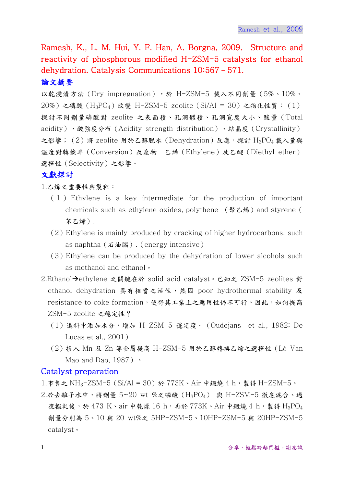## Ramesh, K., L. M. Hui, Y. F. Han, A. Borgna, 2009. Structure and reactivity of phosphorous modified H-ZSM-5 catalysts for ethanol dehydration. Catalysis Communications 10:567–571. 論文摘要

以乾浸漬方法 (Dry impregnation),於 H-ZSM-5 載入不同劑量 (5%、10%、 20%)之磷酸(H3PO4)改變 H-ZSM-5 zeolite(Si/Al = 30)之物化性質:(1) 探討不同劑量磷酸對 zeolite 之表面積、孔洞體積、孔洞寬度大小、酸量(Total acidity)、酸強度分布(Acidity strength distribution)、結晶度(Crystallinity) 之影響; (2)將 zeolite 用於乙醇脫水 (Dehydration)反應,探討 H3PO4 載入量與 溫度對轉換率(Conversion)及產物-乙烯(Ethylene)及乙醚(Diethyl ether) 選擇性(Selectivity)之影響。

## 文獻探討

#### 1.乙烯之重要性與製程:

- ( 1 ) Ethylene is a key intermediate for the production of important chemicals such as ethylene oxides, polythene (聚乙烯) and styrene ( 苯乙烯).
- $(2)$  Ethylene is mainly produced by cracking of higher hydrocarbons, such as naphtha(石油腦).(energy intensive)
- (3)Ethylene can be produced by the dehydration of lower alcohols such as methanol and ethanol。
- 2.Ethanol→ethylene 之關鍵在於 solid acid catalyst。已知之 ZSM-5 zeolites 對 ethanol dehydration 具有相當之活性, 然因 poor hydrothermal stability 及 resistance to coke formation,使得其工業上之應用性仍不可行。因此,如何提高 ZSM-5 zeolite 之穩定性?
	- (1)進料中添加水分,增加 H-ZSM-5 穩定度。(Oudejans et al., 1982; De Lucas et al., 2001)
	- (2)掺入 Mn 及 Zn 等金屬提高 H-ZSM-5 用於乙醇轉換乙烯之選擇性(Lê Van Mao and Dao, 1987) **•**

#### Catalyst preparation

1.市售之 NH<sub>3</sub>-ZSM-5 (Si/Al = 30) 於 773K、Air 中鍛燒 4 h,製得 H-ZSM-5。

 $2.$ 於去離子水中,將劑量 5~20 wt %之磷酸  $(H_3PO_4)$  與 H-ZSM-5 徹底混合、過 夜輾軋後,於 473 K、air 中乾燥 16 h,再於 773K、Air 中鍛燒 4 h,製得 H<sub>3</sub>PO<sub>4</sub> 劑量分別為 5、10 與 20 wt%之 5HP-ZSM-5、10HP-ZSM-5 與 20HP-ZSM-5 catalyst。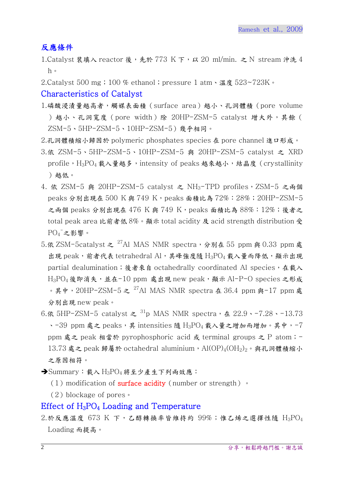## 反應條件

- 1.Catalyst 裝填入 reactor 後, 先於 773 K 下, 以 20 ml/min. 之 N stream 沖洗 4 h。
- 2.Catalyst 500 mg; 100 % ethanol; pressure 1 atm、溫度 523~723K。

#### Characteristics of Catalyst

- 1.磷酸浸漬量越高者,觸媒表面積(surface area)越小、孔洞體積(pore volume )越小、孔洞寬度 (pore width)除 20HP-ZSM-5 catalyst 增大外,其餘 ( ZSM-5、5HP-ZSM-5、10HP-ZSM-5)幾乎相同。
- 2.孔洞體積縮小歸因於 polymeric phosphates species 在 pore channel 進口形成。
- 3.依 ZSM-5、5HP-ZSM-5、10HP-ZSM-5 與 20HP-ZSM-5 catalyst 之 XRD profile,H<sub>3</sub>PO<sub>4</sub> 載入量越多, intensity of peaks 越來越小, 結晶度 (crystallinity )越低。
- 4. 依 ZSM-5 與 20HP-ZSM-5 catalyst 之 NH<sub>3</sub>-TPD profiles, ZSM-5 之兩個 peaks 分別出現在 500 K與 749 K, peaks 面積比為 72%: 28%; 20HP-ZSM-5 之兩個 peaks 分別出現在 476 K 與 749 K, peaks 面積比為 88%:12%;後者之 total peak area 比前者低 8%。顯示 total acidity 及 acid strength distribution 受  $PO_4$  之影響。
- 5.依 ZSM-5catalyst  $\gtrsim$  <sup>27</sup>Al MAS NMR spectra, 分別在 55 ppm 奧 0.33 ppm 處 出現 peak,前者代表 tetrahedral Al,其峰強度隨  $H_3PO_4$ 載入量而降低,顯示出現 partial dealumination;後者來自 octahedrally coordinated Al species,在載入 H<sub>3</sub>PO<sub>4</sub>後即消失,並在-10 ppm 處出現 new peak,顯示 Al-P-O species 之形成 。其中, 20HP-ZSM-5 之 <sup>27</sup>Al MAS NMR spectra 在 36.4 ppm 與-17 ppm 處 分別出現 new peak。
- 6.依 5HP-ZSM-5 catalyst  $\gtrsim$  <sup>31</sup>p MAS NMR spectra, 在 22.9、-7.28、-13.73  $\cdot$ -39 ppm 處之 peaks,其 intensities 隨  $H_3PO_4$ 載入量之增加而增加。其中,-7 ppm 處之 peak 相當於 pyrophosphoric acid 或 terminal groups 之 P atom; -13.73 處之 peak 歸屬於 octahedral aluminium, Al(OP)<sub>4</sub>(OH<sub>2</sub>)<sub>2</sub>。與孔洞體積縮小 之原因相符。
- $\rightarrow$ Summary: 載入  $H_3PO_4$  將至少產生下列兩效應:
	- (1) modification of **surface acidity** (number or strength)  $\circ$
	- (2)blockage of pores。

#### Effect of H3PO4 Loading and Temperature

 $2.$ 於反應溫度 673  $K$  下, 乙醇轉換率皆維持約 99%;惟乙烯之選擇性隨  $H_3PO_4$ Loading 而提高。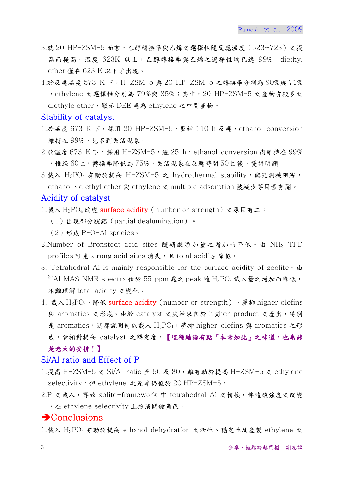- 3.就 20 HP-ZSM-5 而言,乙醇轉換率與乙烯之選擇性隨反應溫度(523~723)之提 高而提高。溫度 623K 以上,乙醇轉換率與乙烯之選擇性均已達 99%。diethyl ether 僅在 623 K 以下才出現。
- 4.於反應溫度 573 K 下,H-ZSM-5 與 20 HP-ZSM-5 之轉換率分別為 90%與 71% ,ethylene 之選擇性分別為 79%與 35%;其中,20 HP-ZSM-5 之產物有較多之 diethyle ether, 顯示 DEE 應為 ethylene 之中間產物。

#### Stability of catalyst

- 1.於溫度 673 K 下,採用 20 HP-ZSM-5,歷經 110 h 反應,ethanol conversion 維持在 99%,見不到失活現象。
- 2.於溫度 673 K 下, 採用 H-ZSM-5, 經 25 h, ethanol conversion 尚維持在 99% , 惟經 60 h, 轉換率降低為 75%。失活現象在反應時間 50 h 後, 變得明顯。
- $3.\,$ 載入  $H_3PO_4$  有助於提高 H-ZSM-5 之 hydrothermal stability, 與孔洞被阻塞, ethanol、diethyl ether 與 ethylene 之 multiple adsorption 被減少等因素有關。

## Acidity of catalyst

- 1.載入 H<sub>3</sub>PO<sub>4</sub> 改變 surface acidity (number or strength) 之原因有二:
	- $(1)$  出現部分脫鋁 (partial dealumination)。
	- (2)形成 P-O-Al species。
- 2.Number of Bronstedt acid sites 隨磷酸添加量之增加而降低。由 NH3-TPD profiles 可見 strong acid sites 消失, 且 total acidity 降低。
- 3. Tetrahedral Al is mainly responsible for the surface acidity of zeolite。由  $^{27}$ Al MAS NMR spectra 位於 55 ppm 處之 peak 隨 H<sub>3</sub>PO<sub>4</sub> 載入量之增加而降低, 不難理解 total acidity 之變化。
- 4. 載入 H<sub>3</sub>PO<sub>4</sub>、降低 surface acidity (number or strength), 壓抑 higher olefins 與 aromatics 之形成。由於 catalyst 之失活來自於 higher product 之產出,特別 是 aromatics,這都說明何以載入 H<sub>3</sub>PO<sub>4</sub>, 壓抑 higher olefins 與 aromatics 之形 成,會相對提高 catalyst 之穩定度。【這種結論有點『本當如此』之味道,也應該 是老天的安排!】

#### Si/Al ratio and Effect of P

- 1.提高 H-ZSM-5 之 Si/Al ratio 至 50 及 80,雖有助於提高 H-ZSM-5 之 ethylene selectivity,但 ethylene 之產率仍低於 20 HP-ZSM-5。
- 2.P 之載入,導致 zolite-framework 中 tetrahedral Al 之轉換,伴隨酸強度之改變 ,在 ethylene selectivity 上扮演關鍵角色。

## $\rightarrow$  Conclusions

1.載入 H3PO4 有助於提高 ethanol dehydration 之活性、穩定性及產製 ethylene 之